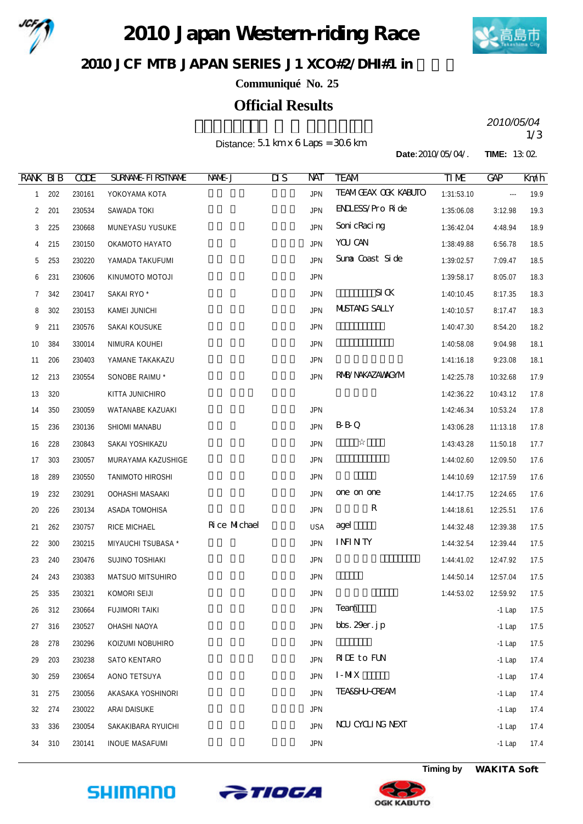

2010 Japan Western riding Race



JCF MIB JAPAN SERIES J1 XCO#2/DHI#1 in

**Communiqué No. 25**

## **Official Results**

Distance: 5.1 km x 6 Laps = 30.6 km

2010/05/04<br>1/3 *2010/05/04*

**Date:**2010/05/04/. **TIME:** 13:02.

| <b>RANK BIB</b> |     | <b>CCDE</b> | <b>SURVANE FIRSTIVANE</b> | NNE J        | $\overline{\text{MS}}$ | NAT        | <b>TEAM</b>                                  | TM         | <b>GAP</b> | Km/h |
|-----------------|-----|-------------|---------------------------|--------------|------------------------|------------|----------------------------------------------|------------|------------|------|
| $\mathbf{1}$    | 202 | 230161      | YOKOYAMA KOTA             |              |                        | <b>JPN</b> | <b>TEAMGEAX OCK KABUTO</b>                   | 1:31:53.10 | $\cdots$   | 19.9 |
| 2               | 201 | 230534      | SAWADA TOKI               |              |                        | <b>JPN</b> | <b>ENLESS/Pro Ride</b>                       | 1:35:06.08 | 3:12.98    | 19.3 |
| 3               | 225 | 230668      | MUNEYASU YUSUKE           |              |                        | <b>JPN</b> | Soni cRaci ng                                | 1:36:42.04 | 4:48.94    | 18.9 |
| 4               | 215 | 230150      | OKAMOTO HAYATO            |              |                        | <b>JPN</b> | YOU CAN                                      | 1:38:49.88 | 6:56.78    | 18.5 |
| 5               | 253 | 230220      | YAMADA TAKUFUMI           |              |                        | <b>JPN</b> | Suna Coast Side                              | 1:39:02.57 | 7:09.47    | 18.5 |
| 6               | 231 | 230606      | KINUMOTO MOTOJI           |              |                        | <b>JPN</b> |                                              | 1:39:58.17 | 8:05.07    | 18.3 |
| 7               | 342 | 230417      | SAKAI RYO <sup>*</sup>    |              |                        | <b>JPN</b> | $\mathbf{S}\mathbf{I}\,\mathbf{G}\mathbf{K}$ | 1:40:10.45 | 8:17.35    | 18.3 |
| 8               | 302 | 230153      | KAMEI JUNICHI             |              |                        | <b>JPN</b> | <b>MISTANG SALLY</b>                         | 1:40:10.57 | 8:17.47    | 18.3 |
| 9               | 211 | 230576      | SAKAI KOUSUKE             |              |                        | <b>JPN</b> |                                              | 1:40:47.30 | 8:54.20    | 18.2 |
| 10 <sup>°</sup> | 384 | 330014      | NIMURA KOUHEI             |              |                        | <b>JPN</b> |                                              | 1:40:58.08 | 9:04.98    | 18.1 |
| 11              | 206 | 230403      | YAMANE TAKAKAZU           |              |                        | <b>JPN</b> |                                              | 1:41:16.18 | 9:23.08    | 18.1 |
| 12              | 213 | 230554      | SONOBE RAIMU *            |              |                        | <b>JPN</b> | RNB/NAKAZAWAGYM                              | 1:42:25.78 | 10:32.68   | 17.9 |
| 13              | 320 |             | KITTA JUNICHIRO           |              |                        |            |                                              | 1:42:36.22 | 10:43.12   | 17.8 |
| 14              | 350 | 230059      | WATANABE KAZUAKI          |              |                        | <b>JPN</b> |                                              | 1:42:46.34 | 10:53.24   | 17.8 |
| 15              | 236 | 230136      | SHIOMI MANABU             |              |                        | <b>JPN</b> | <b>B</b> B Q                                 | 1:43:06.28 | 11:13.18   | 17.8 |
| 16              | 228 | 230843      | SAKAI YOSHIKAZU           |              |                        | <b>JPN</b> |                                              | 1:43:43.28 | 11:50.18   | 17.7 |
| 17              | 303 | 230057      | MURAYAMA KAZUSHIGE        |              |                        | <b>JPN</b> |                                              | 1:44:02.60 | 12:09.50   | 17.6 |
| 18              | 289 | 230550      | TANIMOTO HIROSHI          |              |                        | <b>JPN</b> |                                              | 1:44:10.69 | 12:17.59   | 17.6 |
| 19              | 232 | 230291      | OOHASHI MASAAKI           |              |                        | <b>JPN</b> | one on one                                   | 1:44:17.75 | 12:24.65   | 17.6 |
| 20              | 226 | 230134      | ASADA TOMOHISA            |              |                        | <b>JPN</b> | $\mathbf R$                                  | 1:44:18.61 | 12:25.51   | 17.6 |
| 21              | 262 | 230757      | RICE MICHAEL              | Rice Michael |                        | <b>USA</b> | agel                                         | 1:44:32.48 | 12:39.38   | 17.5 |
| 22              | 300 | 230215      | MIYAUCHI TSUBASA *        |              |                        | <b>JPN</b> | <b>ININTY</b>                                | 1:44:32.54 | 12:39.44   | 17.5 |
| 23              | 240 | 230476      | SUJINO TOSHIAKI           |              |                        | <b>JPN</b> |                                              | 1:44:41.02 | 12:47.92   | 17.5 |
| 24              | 243 | 230383      | MATSUO MITSUHIRO          |              |                        | <b>JPN</b> |                                              | 1:44:50.14 | 12:57.04   | 17.5 |
| 25              | 335 | 230321      | KOMORI SEIJI              |              |                        | <b>JPN</b> |                                              | 1:44:53.02 | 12:59.92   | 17.5 |
| 26              | 312 | 230664      | <b>FUJIMORI TAIKI</b>     |              |                        | <b>JPN</b> | Team                                         |            | $-1$ Lap   | 17.5 |
| 27              | 316 | 230527      | OHASHI NAOYA              |              |                        | <b>JPN</b> | bbs. $29er.$ j $p$                           |            | $-1$ Lap   | 17.5 |
| 28              | 278 | 230296      | KOIZUMI NOBUHIRO          |              |                        | <b>JPN</b> |                                              |            | $-1$ Lap   | 17.5 |
| 29              | 203 | 230238      | SATO KENTARO              |              |                        | <b>JPN</b> | <b>RIE</b> to FUN                            |            | $-1$ Lap   | 17.4 |
| 30              | 259 | 230654      | AONO TETSUYA              |              |                        | <b>JPN</b> | $I-MX$                                       |            | $-1$ Lap   | 17.4 |
| 31              | 275 | 230056      | AKASAKA YOSHINORI         |              |                        | <b>JPN</b> | <b>TEA&amp;SHJ-CREAM</b>                     |            | $-1$ Lap   | 17.4 |
| 32              | 274 | 230022      | ARAI DAISUKE              |              |                        | <b>JPN</b> |                                              |            | $-1$ Lap   | 17.4 |
| 33              | 336 | 230054      | SAKAKIBARA RYUICHI        |              |                        | <b>JPN</b> | NU CYCLING NEXT                              |            | $-1$ Lap   | 17.4 |
| 34              | 310 | 230141      | <b>INOUE MASAFUMI</b>     |              |                        | <b>JPN</b> |                                              |            | $-1$ Lap   | 17.4 |







**Timing by** *WAKITA Soft*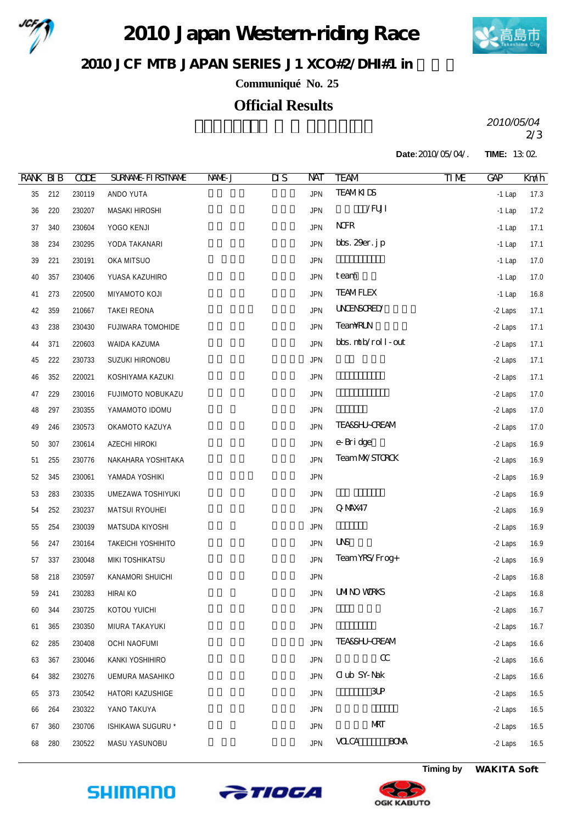

2010 Japan Western riding Race



JCF MIB JAPAN SERIES J1 XCO#2/DHI#1 in

**Communiqué No. 25**

## **Official Results**

2/3 *2010/05/04*

**Date:**2010/05/04/. **TIME:** 13:02.

| <b>RANK BIB</b> |     | <b>CCDE</b> | <b>SURVANE FIRSTIVANE</b> | NAME J | $\overline{\text{MS}}$ | NAT        | <b>TEAM</b>               | TIM | <b>GAP</b> | Km/h |
|-----------------|-----|-------------|---------------------------|--------|------------------------|------------|---------------------------|-----|------------|------|
| 35              | 212 | 230119      | ANDO YUTA                 |        |                        | <b>JPN</b> | <b>TEAMKIDS</b>           |     | $-1$ Lap   | 17.3 |
| 36              | 220 | 230207      | MASAKI HIROSHI            |        |                        | <b>JPN</b> | $/$ FUJI                  |     | $-1$ Lap   | 17.2 |
| 37              | 340 | 230604      | YOGO KENJI                |        |                        | <b>JPN</b> | <b>NHR</b>                |     | $-1$ Lap   | 17.1 |
| 38              | 234 | 230295      | YODA TAKANARI             |        |                        | <b>JPN</b> | bbs. $29er.$ jp           |     | $-1$ Lap   | 17.1 |
| 39              | 221 | 230191      | OKA MITSUO                |        |                        | <b>JPN</b> |                           |     | $-1$ Lap   | 17.0 |
| 40              | 357 | 230406      | YUASA KAZUHIRO            |        |                        | <b>JPN</b> | team                      |     | $-1$ Lap   | 17.0 |
| 41              | 273 | 220500      | MIYAMOTO KOJI             |        |                        | <b>JPN</b> | <b>TEAMFLEX</b>           |     | $-1$ Lap   | 16.8 |
| 42              | 359 | 210667      | TAKEI REONA               |        |                        | <b>JPN</b> | <b>UNENSORED</b>          |     | -2 Laps    | 17.1 |
| 43              | 238 | 230430      | FUJIWARA TOMOHIDE         |        |                        | <b>JPN</b> | <b>TeamRLN</b>            |     | -2 Laps    | 17.1 |
| 44              | 371 | 220603      | WAIDA KAZUMA              |        |                        | <b>JPN</b> | bbs. mtb/roll-out         |     | -2 Laps    | 17.1 |
| 45              | 222 | 230733      | SUZUKI HIRONOBU           |        |                        | <b>JPN</b> |                           |     | -2 Laps    | 17.1 |
| 46              | 352 | 220021      | KOSHIYAMA KAZUKI          |        |                        | <b>JPN</b> |                           |     | -2 Laps    | 17.1 |
| 47              | 229 | 230016      | FUJIMOTO NOBUKAZU         |        |                        | <b>JPN</b> |                           |     | -2 Laps    | 17.0 |
| 48              | 297 | 230355      | YAMAMOTO IDOMU            |        |                        | <b>JPN</b> |                           |     | -2 Laps    | 17.0 |
| 49              | 246 | 230573      | OKAMOTO KAZUYA            |        |                        | <b>JPN</b> | <b>TEASSHJ-CREAM</b>      |     | -2 Laps    | 17.0 |
| 50              | 307 | 230614      | AZECHI HIROKI             |        |                        | <b>JPN</b> | e-Bridge                  |     | -2 Laps    | 16.9 |
| 51              | 255 | 230776      | NAKAHARA YOSHITAKA        |        |                        | <b>JPN</b> | TeamMYSTOROK              |     | -2 Laps    | 16.9 |
| 52              | 345 | 230061      | YAMADA YOSHIKI            |        |                        | <b>JPN</b> |                           |     | -2 Laps    | 16.9 |
| 53              | 283 | 230335      | UMEZAWA TOSHIYUKI         |        |                        | <b>JPN</b> |                           |     | -2 Laps    | 16.9 |
| 54              | 252 | 230237      | MATSUI RYOUHEI            |        |                        | <b>JPN</b> | Q MAX47                   |     | -2 Laps    | 16.9 |
| 55              | 254 | 230039      | MATSUDA KIYOSHI           |        |                        | <b>JPN</b> |                           |     | -2 Laps    | 16.9 |
| 56              | 247 | 230164      | TAKEICHI YOSHIHITO        |        |                        | <b>JPN</b> | <b>UVS</b>                |     | -2 Laps    | 16.9 |
| 57              | 337 | 230048      | MIKI TOSHIKATSU           |        |                        | <b>JPN</b> | Team YRS/Frog+            |     | -2 Laps    | 16.9 |
| 58              | 218 | 230597      | KANAMORI SHUICHI          |        |                        | <b>JPN</b> |                           |     | -2 Laps    | 16.8 |
| 59              | 241 | 230283      | HIRAI KO                  |        |                        | <b>JPN</b> | <b>UMINO WRKS</b>         |     | -2 Laps    | 16.8 |
| 60              | 344 | 230725      | KOTOU YUICHI              |        |                        | <b>JPN</b> |                           |     | -2 Laps    | 16.7 |
| 61              | 365 | 230350      | MIURA TAKAYUKI            |        |                        | <b>JPN</b> |                           |     | -2 Laps    | 16.7 |
| 62              | 285 | 230408      | <b>OCHI NAOFUMI</b>       |        |                        | <b>JPN</b> | <b>TEA&amp;SHJ-CREAM</b>  |     | -2 Laps    | 16.6 |
| 63              | 367 | 230046      | KANKI YOSHIHIRO           |        |                        | <b>JPN</b> | $\alpha$                  |     | -2 Laps    | 16.6 |
| 64              | 382 | 230276      | UEMURA MASAHIKO           |        |                        | <b>JPN</b> | <b>Club SY-Nak</b>        |     | -2 Laps    | 16.6 |
| 65              | 373 | 230542      | HATORI KAZUSHIGE          |        |                        | <b>JPN</b> | 3P                        |     | -2 Laps    | 16.5 |
| 66              | 264 | 230322      | YANO TAKUYA               |        |                        | <b>JPN</b> |                           |     | -2 Laps    | 16.5 |
| 67              | 360 | 230706      | ISHIKAWA SUGURU *         |        |                        | <b>JPN</b> | <b>NRT</b>                |     | -2 Laps    | 16.5 |
| 68              | 280 | 230522      | MASU YASUNOBU             |        |                        | <b>JPN</b> | <b>VOCA</b><br><b>BOM</b> |     | -2 Laps    | 16.5 |







**Timing by** *WAKITA Soft*